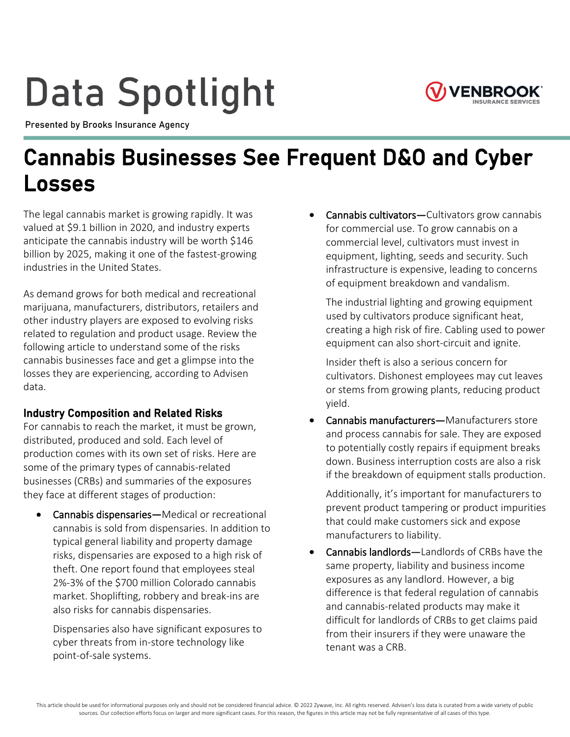# **Data Spotlight**



Presented by Brooks Insurance Agency

# **Cannabis Businesses See Frequent D&O and Cyber Losses**

The legal cannabis market is growing rapidly. It was valued at \$9.1 billion in 2020, and industry experts anticipate the cannabis industry will be worth \$146 billion by 2025, making it one of the fastest-growing industries in the United States.

As demand grows for both medical and recreational marijuana, manufacturers, distributors, retailers and other industry players are exposed to evolving risks related to regulation and product usage. Review the following article to understand some of the risks cannabis businesses face and get a glimpse into the losses they are experiencing, according to Advisen data.

### **Industry Composition and Related Risks**

For cannabis to reach the market, it must be grown, distributed, produced and sold. Each level of production comes with its own set of risks. Here are some of the primary types of cannabis-related businesses (CRBs) and summaries of the exposures they face at different stages of production:

• **Cannabis dispensaries—**Medical or recreational cannabis is sold from dispensaries. In addition to typical general liability and property damage risks, dispensaries are exposed to a high risk of theft. One report found that employees steal 2%-3% of the \$700 million Colorado cannabis market. Shoplifting, robbery and break-ins are also risks for cannabis dispensaries.

Dispensaries also have significant exposures to cyber threats from in-store technology like point-of-sale systems.

• **Cannabis cultivators—**Cultivators grow cannabis for commercial use. To grow cannabis on a commercial level, cultivators must invest in equipment, lighting, seeds and security. Such infrastructure is expensive, leading to concerns of equipment breakdown and vandalism.

The industrial lighting and growing equipment used by cultivators produce significant heat, creating a high risk of fire. Cabling used to power equipment can also short-circuit and ignite.

Insider theft is also a serious concern for cultivators. Dishonest employees may cut leaves or stems from growing plants, reducing product yield.

• **Cannabis manufacturers—**Manufacturers store and process cannabis for sale. They are exposed to potentially costly repairs if equipment breaks down. Business interruption costs are also a risk if the breakdown of equipment stalls production.

Additionally, it's important for manufacturers to prevent product tampering or product impurities that could make customers sick and expose manufacturers to liability.

• **Cannabis landlords—**Landlords of CRBs have the same property, liability and business income exposures as any landlord. However, a big difference is that federal regulation of cannabis and cannabis-related products may make it difficult for landlords of CRBs to get claims paid from their insurers if they were unaware the tenant was a CRB.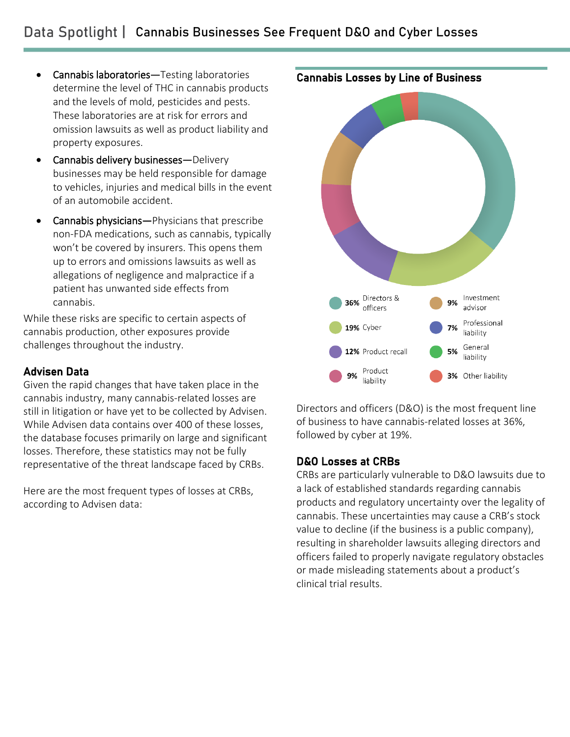- **Cannabis laboratories—**Testing laboratories determine the level of THC in cannabis products and the levels of mold, pesticides and pests. These laboratories are at risk for errors and omission lawsuits as well as product liability and property exposures.
- **Cannabis delivery businesses—**Delivery businesses may be held responsible for damage to vehicles, injuries and medical bills in the event of an automobile accident.
- **Cannabis physicians—**Physicians that prescribe non-FDA medications, such as cannabis, typically won't be covered by insurers. This opens them up to errors and omissions lawsuits as well as allegations of negligence and malpractice if a patient has unwanted side effects from cannabis.

While these risks are specific to certain aspects of cannabis production, other exposures provide challenges throughout the industry.

#### **Advisen Data**

Given the rapid changes that have taken place in the cannabis industry, many cannabis-related losses are still in litigation or have yet to be collected by Advisen. While Advisen data contains over 400 of these losses, the database focuses primarily on large and significant losses. Therefore, these statistics may not be fully representative of the threat landscape faced by CRBs.

Here are the most frequent types of losses at CRBs, according to Advisen data:



Directors and officers (D&O) is the most frequent line of business to have cannabis-related losses at 36%, followed by cyber at 19%.

#### **D&O Losses at CRBs**

CRBs are particularly vulnerable to D&O lawsuits due to a lack of established standards regarding cannabis products and regulatory uncertainty over the legality of cannabis. These uncertainties may cause a CRB's stock value to decline (if the business is a public company), resulting in shareholder lawsuits alleging directors and officers failed to properly navigate regulatory obstacles or made misleading statements about a product's clinical trial results.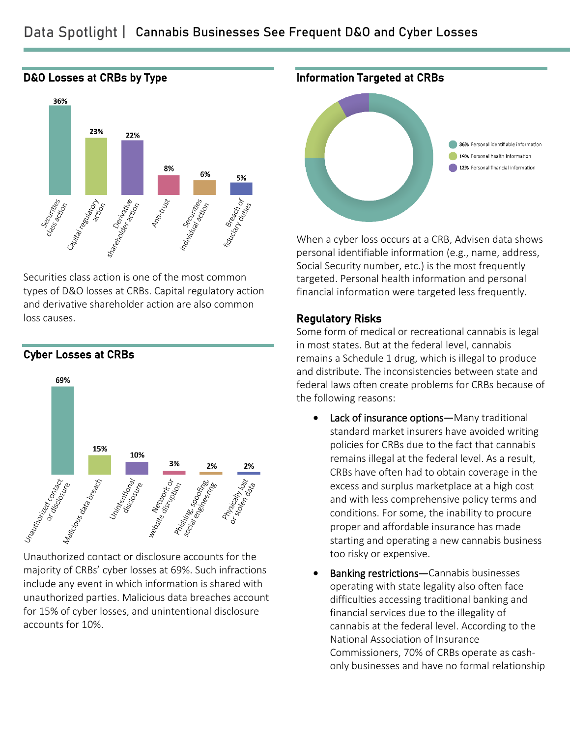

Securities class action is one of the most common types of D&O losses at CRBs. Capital regulatory action and derivative shareholder action are also common loss causes.



**Cyber Losses at CRBs**

majority of CRBs' cyber losses at 69%. Such infractions include any event in which information is shared with unauthorized parties. Malicious data breaches account for 15% of cyber losses, and unintentional disclosure accounts for 10%.



When a cyber loss occurs at a CRB, Advisen data shows personal identifiable information (e.g., name, address, Social Security number, etc.) is the most frequently targeted. Personal health information and personal financial information were targeted less frequently.

#### **Regulatory Risks**

Some form of medical or recreational cannabis is legal in most states. But at the federal level, cannabis remains a Schedule 1 drug, which is illegal to produce and distribute. The inconsistencies between state and federal laws often create problems for CRBs because of the following reasons:

- **Lack of insurance options—**Many traditional standard market insurers have avoided writing policies for CRBs due to the fact that cannabis remains illegal at the federal level. As a result, CRBs have often had to obtain coverage in the excess and surplus marketplace at a high cost and with less comprehensive policy terms and conditions. For some, the inability to procure proper and affordable insurance has made starting and operating a new cannabis business too risky or expensive.
- **Banking restrictions—**Cannabis businesses operating with state legality also often face difficulties accessing traditional banking and financial services due to the illegality of cannabis at the federal level. According to the National Association of Insurance Commissioners, 70% of CRBs operate as cashonly businesses and have no formal relationship